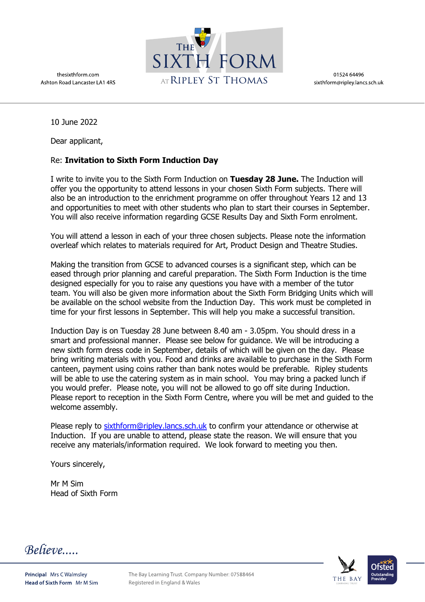thesixthform.com Ashton Road Lancaster LA1 4RS



01524 64496 sixthform@ripley.lancs.sch.uk

10 June 2022

Dear applicant,

## Re: **Invitation to Sixth Form Induction Day**

I write to invite you to the Sixth Form Induction on **Tuesday 28 June.** The Induction will offer you the opportunity to attend lessons in your chosen Sixth Form subjects. There will also be an introduction to the enrichment programme on offer throughout Years 12 and 13 and opportunities to meet with other students who plan to start their courses in September. You will also receive information regarding GCSE Results Day and Sixth Form enrolment.

You will attend a lesson in each of your three chosen subjects. Please note the information overleaf which relates to materials required for Art, Product Design and Theatre Studies.

Making the transition from GCSE to advanced courses is a significant step, which can be eased through prior planning and careful preparation. The Sixth Form Induction is the time designed especially for you to raise any questions you have with a member of the tutor team. You will also be given more information about the Sixth Form Bridging Units which will be available on the school website from the Induction Day. This work must be completed in time for your first lessons in September. This will help you make a successful transition.

Induction Day is on Tuesday 28 June between 8.40 am - 3.05pm. You should dress in a smart and professional manner. Please see below for guidance. We will be introducing a new sixth form dress code in September, details of which will be given on the day. Please bring writing materials with you. Food and drinks are available to purchase in the Sixth Form canteen, payment using coins rather than bank notes would be preferable. Ripley students will be able to use the catering system as in main school. You may bring a packed lunch if you would prefer. Please note, you will not be allowed to go off site during Induction. Please report to reception in the Sixth Form Centre, where you will be met and guided to the welcome assembly.

Please reply to [sixthform@ripley.lancs.sch.uk](mailto:sixthform@ripley.lancs.sch.uk) to confirm your attendance or otherwise at Induction. If you are unable to attend, please state the reason. We will ensure that you receive any materials/information required. We look forward to meeting you then.

Yours sincerely,

Mr M Sim Head of Sixth Form

Believe....